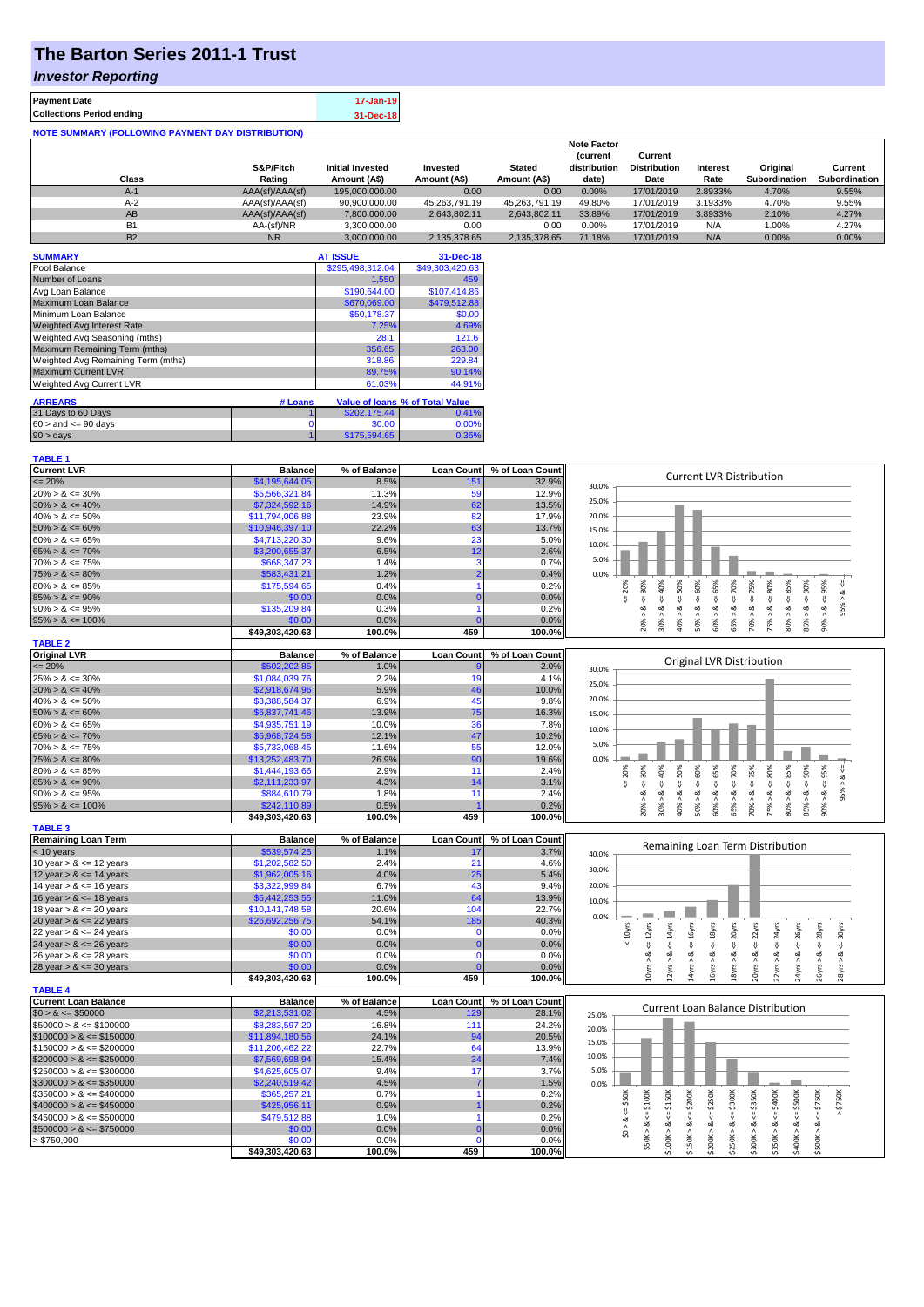# **The Barton Series 2011-1 Trust**

### *Investor Reporting*

| <b>Payment Date</b>                                      | 17-Jan-19 |
|----------------------------------------------------------|-----------|
| <b>Collections Period ending</b>                         | 31-Dec-18 |
| <b>NOTE SUMMARY (FOLLOWING PAYMENT DAY DISTRIBUTION)</b> |           |

|                |                 |                         |               |               | <b>Note Factor</b> |                     |                 |               |               |
|----------------|-----------------|-------------------------|---------------|---------------|--------------------|---------------------|-----------------|---------------|---------------|
|                |                 |                         |               |               | <b>Current</b>     | Current             |                 |               |               |
|                | S&P/Fitch       | <b>Initial Invested</b> | Invested      | <b>Stated</b> | distribution       | <b>Distribution</b> | <b>Interest</b> | Original      | Current       |
| Class          | Rating          | Amount (A\$)            | Amount (A\$)  | Amount (A\$)  | date)              | Date                | Rate            | Subordination | Subordination |
| $A-1$          | AAA(sf)/AAA(sf) | 195,000,000,00          | 0.00          | 0.00          | 0.00%              | 17/01/2019          | 2.8933%         | 4.70%         | 9.55%         |
| $A-2$          | AAA(sf)/AAA(sf) | 90,900,000.00           | 45.263.791.19 | 45.263.791.19 | 49.80%             | 17/01/2019          | 3.1933%         | 4.70%         | 9.55%         |
| AB             | AAA(sf)/AAA(sf) | 7,800,000.00            | 2.643.802.11  | 2.643.802.11  | 33.89%             | 17/01/2019          | 3.8933%         | 2.10%         | 4.27%         |
| B <sub>1</sub> | AA-(sf)/NR      | 3.300.000.00            | 0.00          | 0.00          | 0.00%              | 17/01/2019          | N/A             | 1.00%         | 4.27%         |
| <b>B2</b>      | <b>NR</b>       | 3.000.000.00            | 2.135.378.65  | 2.135.378.65  | 71.18%             | 17/01/2019          | N/A             | $0.00\%$      | 0.00%         |

| <b>SUMMARY</b>                     |         | <b>AT ISSUE</b>  | 31-Dec-18                       |
|------------------------------------|---------|------------------|---------------------------------|
| Pool Balance                       |         | \$295,498,312.04 | \$49,303,420.63                 |
| Number of Loans                    |         | 1,550            | 459                             |
| Avg Loan Balance                   |         | \$190,644.00     | \$107.414.86                    |
| Maximum Loan Balance               |         | \$670,069.00     | \$479,512.88                    |
| Minimum Loan Balance               |         | \$50,178.37      | \$0.00                          |
| Weighted Avg Interest Rate         |         | 7.25%            | 4.69%                           |
| Weighted Avg Seasoning (mths)      |         | 28.1             | 121.6                           |
| Maximum Remaining Term (mths)      |         | 356.65           | 263.00                          |
| Weighted Avg Remaining Term (mths) |         | 318.86           | 229.84                          |
| <b>Maximum Current LVR</b>         |         | 89.75%           | 90.14%                          |
| Weighted Avg Current LVR           |         | 61.03%           | 44.91%                          |
| <b>ARREARS</b>                     | # Loans |                  | Value of loans % of Total Value |
| 31 Days to 60 Days                 |         | \$202,175.44     | 0.41%                           |
|                                    |         |                  |                                 |
| $60 >$ and $\leq 90$ days          | 0       | \$0.00           | 0.00%                           |
| $90 > \text{days}$                 |         | \$175,594.65     | 0.36%                           |

| <b>TABLE 1</b>              |                 |              |                   |                 |                                                                                                                                                                                                                                 |
|-----------------------------|-----------------|--------------|-------------------|-----------------|---------------------------------------------------------------------------------------------------------------------------------------------------------------------------------------------------------------------------------|
| <b>Current LVR</b>          | <b>Balance</b>  | % of Balance | <b>Loan Count</b> | % of Loan Count | <b>Current LVR Distribution</b>                                                                                                                                                                                                 |
| $\leq$ 20%                  | \$4,195,644.05  | 8.5%         | 151               | 32.9%           | 30.0%                                                                                                                                                                                                                           |
| $20\% > 8 \le 30\%$         | \$5,566,321.84  | 11.3%        | 59                | 12.9%           |                                                                                                                                                                                                                                 |
| $30\% > 8 \le 40\%$         | \$7,324,592.16  | 14.9%        | 62                | 13.5%           | 25.0%                                                                                                                                                                                                                           |
| $40\% > 8 \le 50\%$         | \$11,794,006.88 | 23.9%        | 82                | 17.9%           | 20.0%                                                                                                                                                                                                                           |
| $50\% > 8 \le 60\%$         | \$10,946,397.10 | 22.2%        | 63                | 13.7%           | 15.0%                                                                                                                                                                                                                           |
| $60\% > 8 \le 65\%$         | \$4,713,220.30  | 9.6%         | 23                | 5.0%            |                                                                                                                                                                                                                                 |
| $65\% > 8 \le 70\%$         | \$3,200,655.37  | 6.5%         | 12                | 2.6%            | 10.0%                                                                                                                                                                                                                           |
| $70\% > 8 \le 75\%$         | \$668,347.23    | 1.4%         | 3                 | 0.7%            | 5.0%                                                                                                                                                                                                                            |
| $75\% > 8 \le 80\%$         | \$583,431.21    | 1.2%         |                   | 0.4%            | 0.0%                                                                                                                                                                                                                            |
| $80\% > 8 \le 85\%$         | \$175,594.65    | 0.4%         |                   | 0.2%            | 95%<br>20%<br>70%                                                                                                                                                                                                               |
| $85\% > 8 \le 90\%$         | \$0.00          | 0.0%         | $\Omega$          | 0.0%            | $<=$ 50%<br>$4 = 30\%$<br>ઌ<br>$\stackrel{  }{\vee}$<br>V                                                                                                                                                                       |
| $90\% > 8 \le 95\%$         | \$135,209.84    | 0.3%         |                   | 0.2%            | 95%<br>ઌ<br>≪<br>œ<br>ಷ                                                                                                                                                                                                         |
| $95\% > 8 \le 100\%$        | \$0.00          | 0.0%         |                   | 0.0%            | $50\% > 8 <= 60\%$<br>$30\% > 8 <= 40\%$<br>$60\% > 8 \leq 65\%$<br>$75\% > 8 <= 80\%$<br>$80\% > 8 <= 85\%$<br>$85\% > 8 <= 90\%$<br>$70\% > 8 <= 75\%$<br>20% ><br>40% ><br>90% ><br>65% >                                    |
|                             | \$49,303,420.63 | 100.0%       | 459               | 100.0%          |                                                                                                                                                                                                                                 |
| <b>TABLE 2</b>              |                 |              |                   |                 |                                                                                                                                                                                                                                 |
| <b>Original LVR</b>         | <b>Balance</b>  | % of Balance | <b>Loan Count</b> | % of Loan Count |                                                                                                                                                                                                                                 |
| $= 20%$                     | \$502,202.85    | 1.0%         |                   | 2.0%            | Original LVR Distribution<br>30.0%                                                                                                                                                                                              |
| $25\% > 8 \le 30\%$         | \$1,084,039.76  | 2.2%         | 19                | 4.1%            |                                                                                                                                                                                                                                 |
| $30\% > 8 \le 40\%$         | \$2,918,674.96  | 5.9%         | 46                | 10.0%           | 25.0%                                                                                                                                                                                                                           |
| $40\% > 8 \le 50\%$         | \$3,388,584.37  | 6.9%         | 45                | 9.8%            | 20.0%                                                                                                                                                                                                                           |
| $50\% > 8 \le 60\%$         | \$6,837,741.46  | 13.9%        | 75                | 16.3%           | 15.0%                                                                                                                                                                                                                           |
| $60\% > 8 \le 65\%$         | \$4,935,751.19  | 10.0%        | 36                | 7.8%            |                                                                                                                                                                                                                                 |
| $65\% > 8 \le 70\%$         | \$5,968,724.58  | 12.1%        | 47                | 10.2%           | 10.0%                                                                                                                                                                                                                           |
| $70\% > 8 \le 75\%$         | \$5,733,068.45  | 11.6%        | 55                | 12.0%           | 5.0%                                                                                                                                                                                                                            |
| $75\% > 8 \le 80\%$         | \$13,252,483.70 | 26.9%        | 90                | 19.6%           | 0.0%                                                                                                                                                                                                                            |
| $80\% > 8 \le 85\%$         | \$1,444,193.66  | 2.9%         | 11                | 2.4%            | 50%<br>60%<br>65%<br>80%<br>95%<br>30%<br>70%<br>20%                                                                                                                                                                            |
| $85\% > 8 \le 90\%$         | \$2,111,233.97  | 4.3%         | 14                | 3.1%            | $4 = 90\%$<br>$40\%$<br>$4 = 75\%$<br>485%<br>$\frac{8}{10}$<br>V<br>$\stackrel{\scriptscriptstyle \text{II}}{\scriptscriptstyle \text{V}}$<br>$\overset{\shortparallel}{\mathsf{v}}$<br>₩<br>₩                                 |
| $90\% > 8 \le 95\%$         | \$884,610.79    | 1.8%         | 11                | 2.4%            | $\stackrel{  }{\vee}$<br>Ÿ<br>95%<br>ವ<br>≪<br>ಷ<br>ø                                                                                                                                                                           |
| $95\% > 8 \le 100\%$        | \$242,110.89    | 0.5%         |                   | 0.2%            | $80\% > 8$<br>$30\% > 8$ .<br>60% > 8<br>$70\% > 8$ .<br>75% > 8.<br>85% > 8.<br>$90\% > 8$<br>40% ><br>50% ><br>20% ><br>65% >                                                                                                 |
|                             | \$49.303.420.63 | 100.0%       | 459               | 100.0%          |                                                                                                                                                                                                                                 |
| <b>TABLE 3</b>              |                 |              |                   |                 |                                                                                                                                                                                                                                 |
| <b>Remaining Loan Term</b>  | <b>Balance</b>  | % of Balance | <b>Loan Count</b> | % of Loan Count |                                                                                                                                                                                                                                 |
| $<$ 10 years                | \$539,574.25    | 1.1%         | 17                | 3.7%            | Remaining Loan Term Distribution<br>40.0%                                                                                                                                                                                       |
| 10 year $> 8 \le 12$ years  | \$1,202,582.50  | 2.4%         | 21                | 4.6%            |                                                                                                                                                                                                                                 |
| 12 year $> 8 \le 14$ years  | \$1,962,005.16  | 4.0%         | 25                | 5.4%            | 30.0%                                                                                                                                                                                                                           |
| 14 year $> 8 \le 16$ years  | \$3,322,999.84  | 6.7%         | 43                | 9.4%            | 20.0%                                                                                                                                                                                                                           |
| 16 year $> 8 \le 18$ years  | \$5,442,253.55  | 11.0%        | 64                | 13.9%           |                                                                                                                                                                                                                                 |
| 18 year $> 8 \le 20$ years  | \$10,141,748.58 | 20.6%        | 104               | 22.7%           | 10.0%                                                                                                                                                                                                                           |
| 20 year $> 8 \le 22$ years  | \$26,692,256.75 | 54.1%        | 185               | 40.3%           | 0.0%                                                                                                                                                                                                                            |
| 22 year $> 8 \le 24$ years  | \$0.00          | 0.0%         | $\mathbf 0$       | 0.0%            |                                                                                                                                                                                                                                 |
| 24 year $> 8 \le 26$ years  | \$0.00          | 0.0%         | $\mathbf 0$       | 0.0%            | $\leq 14$ yrs<br>$\leq 16$ yrs<br>$\epsilon$ = 18 $\gamma$ rs<br>$\leq$ 20 $\gamma$ rs<br>$\epsilon$ = 22yrs<br>$\leq$ 24yrs<br>< 10yrs<br>$\epsilon$ = 12 $\gamma$ rs<br>$\leq$ 26yrs<br>$\leq$ 28 $\gamma$ rs<br>$4 = 30$ yrs |
| 26 year $> 8 \le 28$ years  | \$0.00          | 0.0%         | $\mathbf 0$       | 0.0%            | ಷ<br>ವ<br>ವ<br>ಷ<br>ಹ<br>≪<br>ಷ                                                                                                                                                                                                 |
| 28 year $> 8 \le 30$ years  | \$0.00          | 0.0%         | n                 | 0.0%            | LOyrs >                                                                                                                                                                                                                         |
|                             | \$49,303,420.63 | 100.0%       | 459               | 100.0%          | 20yrs > 8<br>22yrs > 8<br>24yrs > 8<br>12yrs<br>14yrs<br>16yrs><br>18yrs<br>26yrs<br>28yrs > 8                                                                                                                                  |
| <b>TABLE 4</b>              |                 |              |                   |                 |                                                                                                                                                                                                                                 |
| <b>Current Loan Balance</b> | <b>Balance</b>  | % of Balance | <b>Loan Count</b> | % of Loan Count |                                                                                                                                                                                                                                 |
| $$0 > 8 \le $50000$         | \$2,213,531.02  | 4.5%         | 129               | 28.1%           | <b>Current Loan Balance Distribution</b><br>25.0%                                                                                                                                                                               |
| $$50000 > 8 \le $100000$    | \$8,283,597.20  | 16.8%        | 111               | 24.2%           |                                                                                                                                                                                                                                 |
| $$100000 > 8 \le $150000$   | \$11,894,180.56 | 24.1%        | 94                | 20.5%           | 20.0%                                                                                                                                                                                                                           |
| $$150000 > 8 \leq $200000$  | \$11,206,462.22 | 22.7%        | 64                | 13.9%           | 15.0%                                                                                                                                                                                                                           |
| $$200000 > 8 \leq $250000$  | \$7,569,698.94  | 15.4%        | 34                | 7.4%            | 10.0%                                                                                                                                                                                                                           |
| $$250000 > 8 \leq $300000$  | \$4,625,605.07  | 9.4%         | 17                | 3.7%            | 5.0%                                                                                                                                                                                                                            |
| $$300000 > 8 \leq $350000$  | \$2,240,519.42  | 4.5%         |                   | 1.5%            | 0.0%                                                                                                                                                                                                                            |
| $$350000 > 8 \leq $400000$  | \$365,257.21    | 0.7%         |                   | 0.2%            |                                                                                                                                                                                                                                 |
| $$400000 > 8 \leq $450000$  | \$425,056.11    | 0.9%         |                   | 0.2%            | \$50K<br>$4 = $200K$<br><b>\$250K</b><br>\$750K<br>$4 = $750K$                                                                                                                                                                  |
| $$450000 > 8 \le $500000$   | \$479,512.88    | 1.0%         |                   | 0.2%            | $\stackrel{\scriptscriptstyle{II}}{\mathsf{v}}$                                                                                                                                                                                 |
|                             |                 | 0.0%         |                   | 0.0%            | \$0 > 8<br>ઌૻ                                                                                                                                                                                                                   |
| $$500000 > 8 \le $750000$   | \$0.00          |              | $\Omega$          |                 | $$50K > 8 <= $100K$<br>$$100K > <= $150K$<br>$$250K > <= $300K$<br>$$300K > 8 <= $350K$<br>$$400K > 8 <= $500K$<br>$$350K > 8 <= $400K$<br>\$150K > 8<br>\$500K > 8<br>\$200K>                                                  |
| > \$750,000                 | \$0.00          | 0.0%         | $\Omega$          | 0.0%            |                                                                                                                                                                                                                                 |
|                             | \$49,303,420.63 | 100.0%       | 459               | 100.0%          |                                                                                                                                                                                                                                 |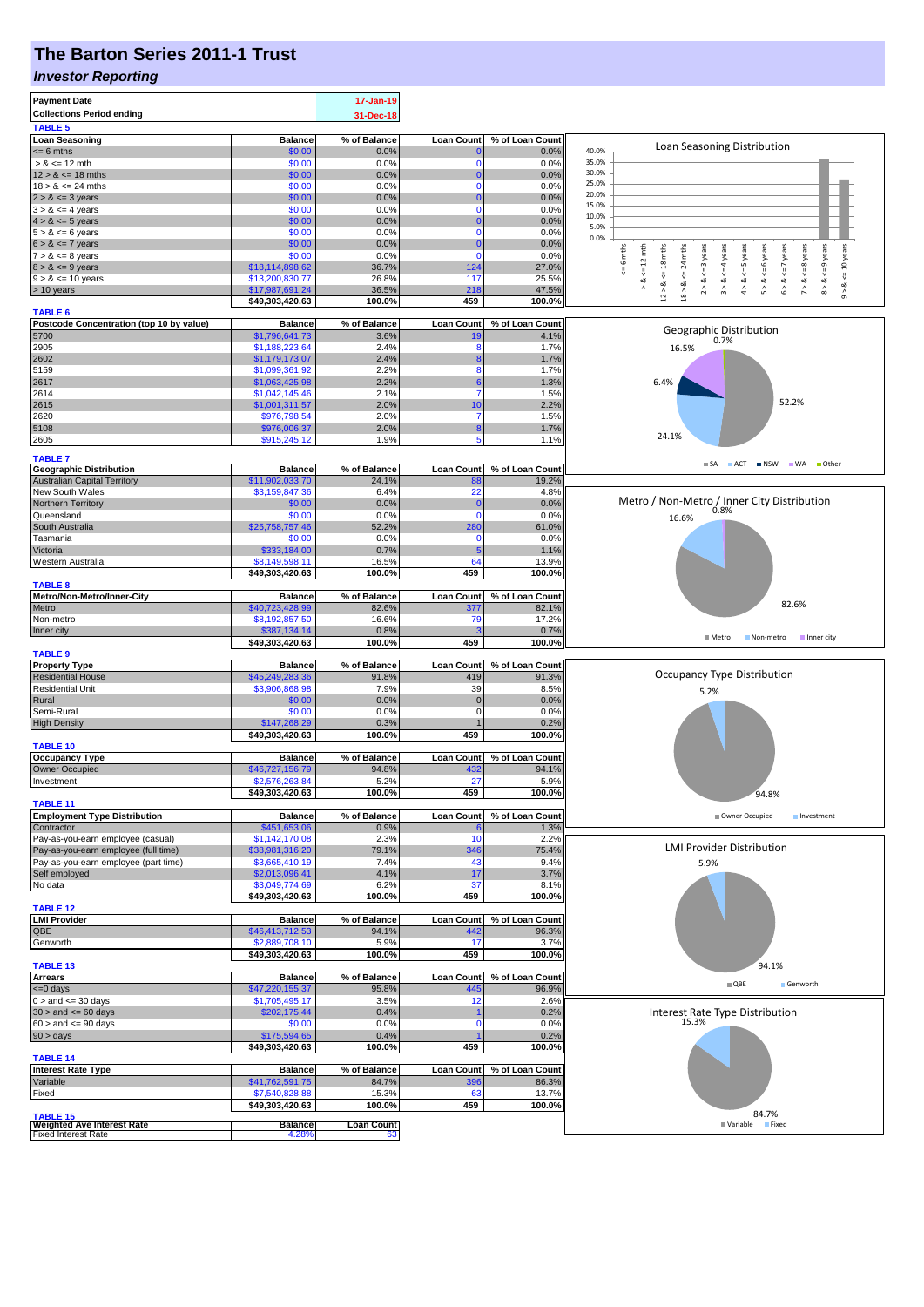# **The Barton Series 2011-1 Trust**

#### *Investor Reporting*

| <b>Payment Date</b><br><b>Collections Period ending</b><br><b>TABLE 5</b> |                                   | 17-Jan-19<br>31-Dec-18 |                      |                 |                                                                                                                                                                                                             |
|---------------------------------------------------------------------------|-----------------------------------|------------------------|----------------------|-----------------|-------------------------------------------------------------------------------------------------------------------------------------------------------------------------------------------------------------|
| <b>Loan Seasoning</b>                                                     | <b>Balance</b>                    | % of Balance           | <b>Loan Count</b>    | % of Loan Count |                                                                                                                                                                                                             |
| $= 6$ mths                                                                | \$0.00                            | 0.0%                   |                      | 0.0%            | Loan Seasoning Distribution<br>40.0%                                                                                                                                                                        |
| $> 8 \le 12$ mth                                                          | \$0.00                            | 0.0%                   | $\Omega$             | 0.0%            | 35.0%                                                                                                                                                                                                       |
| $12 > 8 \le 18$ mths                                                      | \$0.00                            | 0.0%                   | $\Omega$             | 0.0%            | 30.0%                                                                                                                                                                                                       |
| $18 > 8 \le 24$ mths                                                      | \$0.00                            | 0.0%                   | 0                    | 0.0%            | 25.0%<br>20.0%                                                                                                                                                                                              |
| $2 > 8 \le 3$ years<br>$3 > 8 \le 4$ years                                | \$0.00<br>\$0.00                  | 0.0%<br>0.0%           | $\Omega$<br>$\Omega$ | 0.0%<br>0.0%    | 15.0%                                                                                                                                                                                                       |
| $4 > 8 \le 5$ years                                                       | \$0.00                            | 0.0%                   | $\Omega$             | 0.0%            | 10.0%                                                                                                                                                                                                       |
| $5 > 8 \le 6$ years                                                       | \$0.00                            | 0.0%                   | $\Omega$             | 0.0%            | 5.0%                                                                                                                                                                                                        |
| $6 > 8 \le 7$ years                                                       | \$0.00                            | 0.0%                   | $\mathbf 0$          | 0.0%            | 0.0%                                                                                                                                                                                                        |
| $7 > 8 \le 8$ years                                                       | \$0.00                            | 0.0%                   | $\mathbf 0$          | 0.0%            | $\leq$ 9 years<br><= 10 years<br>$x = 6$ mths<br>$\leq 12$ mth<br>24 mths<br>$2 > 8 < 3$ years<br>$3 > 8 < 4$ years<br>$4 > 8 \leq 5$ years<br>$5 > 8 < 6$ years<br>$6 > 8 < z < 7$ years<br>$\leq$ 8 years |
| $8 > 8 \le 9$ years                                                       | \$18,114,898.62                   | 36.7%                  | 124                  | 27.0%           |                                                                                                                                                                                                             |
| $9 > 8 \le 10$ years                                                      | \$13,200,830.77                   | 26.8%                  | 117                  | 25.5%           | V<br>$7 > 8$ .<br>$8 > 8$ .<br>ವ<br>ಷ                                                                                                                                                                       |
| > 10 years                                                                | \$17,987,691.24                   | 36.5%                  | 218                  | 47.5%           | $12 > 8$ <= 18 mths<br>$18 > 8$<br>$\hat{9}$                                                                                                                                                                |
| <b>TABLE 6</b>                                                            | \$49,303,420.63                   | 100.0%                 | 459                  | 100.0%          |                                                                                                                                                                                                             |
| Postcode Concentration (top 10 by value)                                  | <b>Balance</b>                    | % of Balance           | <b>Loan Count</b>    | % of Loan Count |                                                                                                                                                                                                             |
| 5700                                                                      | \$1,796,641.73                    | 3.6%                   |                      | 4.1%            | Geographic Distribution<br>0.7%                                                                                                                                                                             |
| 2905                                                                      | \$1,188,223.64                    | 2.4%                   | 8                    | 1.7%            | 16.5%                                                                                                                                                                                                       |
| 2602                                                                      | \$1,179,173.07                    | 2.4%                   |                      | 1.7%            |                                                                                                                                                                                                             |
| 5159                                                                      | \$1,099,361.92                    | 2.2%                   | 8                    | 1.7%            |                                                                                                                                                                                                             |
| 2617<br>2614                                                              | \$1,063,425.98                    | 2.2%<br>2.1%           | 7                    | 1.3%<br>1.5%    | 6.4%                                                                                                                                                                                                        |
| 2615                                                                      | \$1,042,145.46<br>\$1,001,311.57  | 2.0%                   | 10                   | 2.2%            | 52.2%                                                                                                                                                                                                       |
| 2620                                                                      | \$976,798.54                      | 2.0%                   | 7                    | 1.5%            |                                                                                                                                                                                                             |
| 5108                                                                      | \$976,006.37                      | 2.0%                   | 8                    | 1.7%            |                                                                                                                                                                                                             |
| 2605                                                                      | \$915,245.12                      | 1.9%                   | 5                    | 1.1%            | 24.1%                                                                                                                                                                                                       |
| <b>TABLE 7</b>                                                            |                                   |                        |                      |                 |                                                                                                                                                                                                             |
| <b>Geographic Distribution</b>                                            | <b>Balance</b>                    | % of Balance           | <b>Loan Count</b>    | % of Loan Count | SA ACT NSW WA Other                                                                                                                                                                                         |
| <b>Australian Capital Territory</b>                                       | \$11,902,033.70                   | 24.1%                  | 88                   | 19.2%           |                                                                                                                                                                                                             |
| New South Wales                                                           | \$3,159,847.36                    | 6.4%                   | 22                   | 4.8%            |                                                                                                                                                                                                             |
| Northern Territory                                                        | \$0.00                            | 0.0%                   | $\mathbf{0}$         | 0.0%            | Metro / Non-Metro / Inner City Distribution                                                                                                                                                                 |
| Queensland                                                                | \$0.00                            | 0.0%                   | $\mathbf 0$          | 0.0%            | 16.6%                                                                                                                                                                                                       |
| South Australia<br>Tasmania                                               | \$25,758,757.46<br>\$0.00         | 52.2%<br>0.0%          | 280<br>$\Omega$      | 61.0%<br>0.0%   |                                                                                                                                                                                                             |
| Victoria                                                                  | \$333,184.00                      | 0.7%                   |                      | 1.1%            |                                                                                                                                                                                                             |
| Western Australia                                                         | \$8,149,598.11                    | 16.5%                  | 64                   | 13.9%           |                                                                                                                                                                                                             |
|                                                                           | \$49,303,420.63                   | 100.0%                 | 459                  | 100.0%          |                                                                                                                                                                                                             |
| <b>TABLE 8</b>                                                            |                                   |                        |                      |                 |                                                                                                                                                                                                             |
| Metro/Non-Metro/Inner-City                                                | <b>Balance</b>                    | % of Balance           | <b>Loan Count</b>    | % of Loan Count | 82.6%                                                                                                                                                                                                       |
| Metro                                                                     | \$40,723,428.99                   | 82.6%                  | 377                  | 82.1%           |                                                                                                                                                                                                             |
| Non-metro<br>Inner city                                                   | \$8,192,857.50<br>\$387,134.14    | 16.6%<br>0.8%          | 79                   | 17.2%<br>0.7%   |                                                                                                                                                                                                             |
|                                                                           | \$49,303,420.63                   | 100.0%                 | 459                  | 100.0%          | <b>■</b> Metro<br>Non-metro<br>Inner city                                                                                                                                                                   |
| <b>TABLE 9</b>                                                            |                                   |                        |                      |                 |                                                                                                                                                                                                             |
| <b>Property Type</b>                                                      | <b>Balance</b>                    | % of Balance           | <b>Loan Count</b>    | % of Loan Count |                                                                                                                                                                                                             |
| <b>Residential House</b>                                                  | \$45,249,283.36                   | 91.8%                  | 419                  | 91.3%           | Occupancy Type Distribution                                                                                                                                                                                 |
| <b>Residential Unit</b>                                                   | \$3,906,868.98                    | 7.9%                   | 39                   | 8.5%            | 5.2%                                                                                                                                                                                                        |
| Rural<br>Semi-Rural                                                       | \$0.00<br>\$0.00                  | 0.0%<br>0.0%           | $\mathbf 0$<br>0     | 0.0%<br>0.0%    |                                                                                                                                                                                                             |
| <b>High Density</b>                                                       | \$147,268.29                      | 0.3%                   |                      | 0.2%            |                                                                                                                                                                                                             |
|                                                                           | \$49,303,420.63                   | 100.0%                 | 459                  | 100.0%          |                                                                                                                                                                                                             |
| <b>TABLE 10</b>                                                           |                                   |                        |                      |                 |                                                                                                                                                                                                             |
| <b>Occupancy Type</b>                                                     | <b>Balance</b>                    | % of Balance           | <b>Loan Count</b>    | % of Loan Count |                                                                                                                                                                                                             |
| Owner Occupied                                                            | \$46,727,156.79                   | 94.8%                  | 432                  | 94.1%           |                                                                                                                                                                                                             |
| Investment                                                                | \$2,576,263,84<br>\$49,303,420.63 | 5.2%<br>100.0%         | 27<br>459            | 5.9%<br>100.0%  |                                                                                                                                                                                                             |
| <b>TABLE 11</b>                                                           |                                   |                        |                      |                 | 94.8%                                                                                                                                                                                                       |
| <b>Employment Type Distribution</b>                                       | <b>Balance</b>                    | % of Balance           | <b>Loan Count</b>    | % of Loan Count | Owner Occupied<br>Investment                                                                                                                                                                                |
| Contractor                                                                | \$451,653.06                      | 0.9%                   |                      | 1.3%            |                                                                                                                                                                                                             |
| Pay-as-you-earn employee (casual)                                         | \$1,142,170.08                    | 2.3%                   | 10                   | 2.2%            | <b>LMI Provider Distribution</b>                                                                                                                                                                            |
| Pay-as-you-earn employee (full time)                                      | \$38,981,316.20                   | 79.1%                  | 346                  | 75.4%           |                                                                                                                                                                                                             |
| Pay-as-you-earn employee (part time)<br>Self employed                     | \$3,665,410.19<br>\$2,013,096.41  | 7.4%<br>4.1%           | 43<br>17             | 9.4%<br>3.7%    | 5.9%                                                                                                                                                                                                        |
| No data                                                                   | \$3,049,774.69                    | 6.2%                   | 37                   | 8.1%            |                                                                                                                                                                                                             |
|                                                                           | \$49,303,420.63                   | 100.0%                 | 459                  | 100.0%          |                                                                                                                                                                                                             |
| <b>TABLE 12</b>                                                           |                                   |                        |                      |                 |                                                                                                                                                                                                             |
| <b>LMI Provider</b>                                                       | <b>Balance</b>                    | % of Balance           | <b>Loan Count</b>    | % of Loan Count |                                                                                                                                                                                                             |
| QBE<br>Genworth                                                           | \$46,413,712.53<br>\$2,889,708.10 | 94.1%<br>5.9%          | 442<br>17            | 96.3%           |                                                                                                                                                                                                             |
|                                                                           | \$49,303,420.63                   | 100.0%                 | 459                  | 3.7%<br>100.0%  |                                                                                                                                                                                                             |
| <b>TABLE 13</b>                                                           |                                   |                        |                      |                 | 94.1%                                                                                                                                                                                                       |
| <b>Arrears</b>                                                            | <b>Balance</b>                    | % of Balance           | <b>Loan Count</b>    | % of Loan Count | $\blacksquare$ QBE                                                                                                                                                                                          |
| $\leq 0$ days                                                             | \$47,220,155.37                   | 95.8%                  | 445                  | 96.9%           | Genworth                                                                                                                                                                                                    |
| $0 >$ and $\leq$ 30 days                                                  | \$1,705,495.17                    | 3.5%                   | 12                   | 2.6%            |                                                                                                                                                                                                             |
| $30 >$ and $\leq 60$ days                                                 | \$202,175.44                      | 0.4%                   | $\Omega$             | 0.2%            | Interest Rate Type Distribution<br>15.3%                                                                                                                                                                    |
| $60 >$ and $\leq 90$ days<br>$90 > \text{days}$                           | \$0.00<br>\$175,594.65            | 0.0%<br>0.4%           |                      | 0.0%<br>0.2%    |                                                                                                                                                                                                             |
|                                                                           | \$49,303,420.63                   | 100.0%                 | 459                  | 100.0%          |                                                                                                                                                                                                             |
| <b>TABLE 14</b>                                                           |                                   |                        |                      |                 |                                                                                                                                                                                                             |
| <b>Interest Rate Type</b>                                                 | <b>Balance</b>                    | % of Balance           | <b>Loan Count</b>    | % of Loan Count |                                                                                                                                                                                                             |
| Variable                                                                  | \$41,762,591.75                   | 84.7%                  | 396                  | 86.3%           |                                                                                                                                                                                                             |
| Fixed                                                                     | \$7,540,828.88                    | 15.3%                  | 63                   | 13.7%           |                                                                                                                                                                                                             |
| <b>TABLE 15</b>                                                           | \$49,303,420.63                   | 100.0%                 | 459                  | 100.0%          | 84.7%                                                                                                                                                                                                       |
| <b>Weighted Ave Interest Rate</b>                                         | <b>Balance</b>                    | <b>Loan Count</b>      |                      |                 | Variable Fixed                                                                                                                                                                                              |
| <b>Fixed Interest Rate</b>                                                | 4.28%                             | 63                     |                      |                 |                                                                                                                                                                                                             |